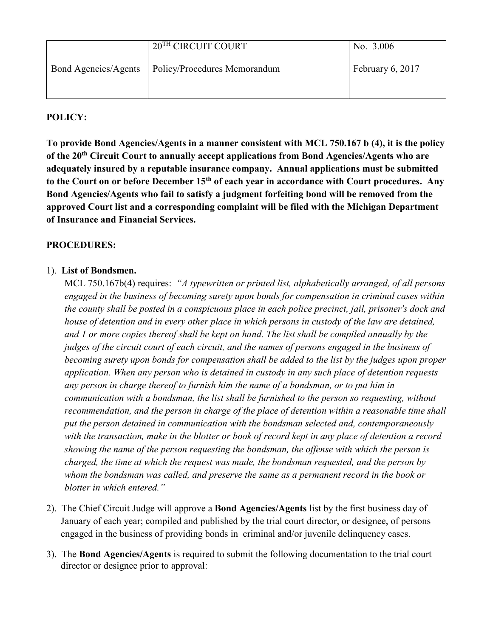|                             | 20 <sup>TH</sup> CIRCUIT COURT | No. 3.006        |
|-----------------------------|--------------------------------|------------------|
| <b>Bond Agencies/Agents</b> | Policy/Procedures Memorandum   | February 6, 2017 |
|                             |                                |                  |

## **POLICY:**

**To provide Bond Agencies/Agents in a manner consistent with MCL 750.167 b (4), it is the policy of the 20th Circuit Court to annually accept applications from Bond Agencies/Agents who are adequately insured by a reputable insurance company. Annual applications must be submitted to the Court on or before December 15th of each year in accordance with Court procedures. Any Bond Agencies/Agents who fail to satisfy a judgment forfeiting bond will be removed from the approved Court list and a corresponding complaint will be filed with the Michigan Department of Insurance and Financial Services.** 

## **PROCEDURES:**

## 1). **List of Bondsmen.**

MCL 750.167b(4) requires: *"A typewritten or printed list, alphabetically arranged, of all persons engaged in the business of becoming surety upon bonds for compensation in criminal cases within the county shall be posted in a conspicuous place in each police precinct, jail, prisoner's dock and house of detention and in every other place in which persons in custody of the law are detained, and 1 or more copies thereof shall be kept on hand. The list shall be compiled annually by the judges of the circuit court of each circuit, and the names of persons engaged in the business of becoming surety upon bonds for compensation shall be added to the list by the judges upon proper application. When any person who is detained in custody in any such place of detention requests any person in charge thereof to furnish him the name of a bondsman, or to put him in communication with a bondsman, the list shall be furnished to the person so requesting, without recommendation, and the person in charge of the place of detention within a reasonable time shall put the person detained in communication with the bondsman selected and, contemporaneously with the transaction, make in the blotter or book of record kept in any place of detention a record showing the name of the person requesting the bondsman, the offense with which the person is charged, the time at which the request was made, the bondsman requested, and the person by whom the bondsman was called, and preserve the same as a permanent record in the book or blotter in which entered."* 

- 2). The Chief Circuit Judge will approve a **Bond Agencies/Agents** list by the first business day of January of each year; compiled and published by the trial court director, or designee, of persons engaged in the business of providing bonds in criminal and/or juvenile delinquency cases.
- 3). The **Bond Agencies/Agents** is required to submit the following documentation to the trial court director or designee prior to approval: